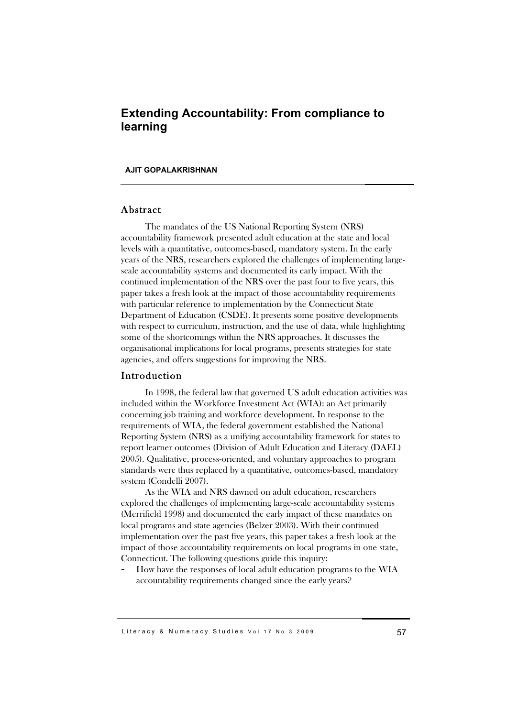# **Extending Accountability: From compliance to learning**

#### **AJIT GOPALAKRISHNAN**

### Abstract

The mandates of the US National Reporting System (NRS) accountability framework presented adult education at the state and local levels with a quantitative, outcomes-based, mandatory system. In the early years of the NRS, researchers explored the challenges of implementing largescale accountability systems and documented its early impact. With the continued implementation of the NRS over the past four to five years, this paper takes a fresh look at the impact of those accountability requirements with particular reference to implementation by the Connecticut State Department of Education (CSDE). It presents some positive developments with respect to curriculum, instruction, and the use of data, while highlighting some of the shortcomings within the NRS approaches. It discusses the organisational implications for local programs, presents strategies for state agencies, and offers suggestions for improving the NRS.

#### Introduction

In 1998, the federal law that governed US adult education activities was included within the Workforce Investment Act (WIA): an Act primarily concerning job training and workforce development. In response to the requirements of WIA, the federal government established the National Reporting System (NRS) as a unifying accountability framework for states to report learner outcomes (Division of Adult Education and Literacy (DAEL) 2005). Qualitative, process-oriented, and voluntary approaches to program standards were thus replaced by a quantitative, outcomes-based, mandatory system (Condelli 2007).

As the WIA and NRS dawned on adult education, researchers explored the challenges of implementing large-scale accountability systems (Merrifield 1998) and documented the early impact of these mandates on local programs and state agencies (Belzer 2003). With their continued implementation over the past five years, this paper takes a fresh look at the impact of those accountability requirements on local programs in one state, Connecticut. The following questions guide this inquiry:

How have the responses of local adult education programs to the WIA accountability requirements changed since the early years?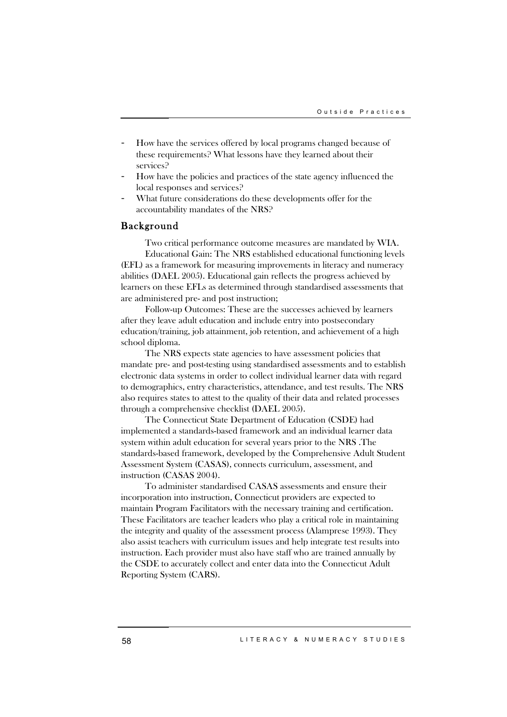- How have the services offered by local programs changed because of these requirements? What lessons have they learned about their services?
- How have the policies and practices of the state agency influenced the local responses and services?
- What future considerations do these developments offer for the accountability mandates of the NRS?

#### Background

Two critical performance outcome measures are mandated by WIA. Educational Gain: The NRS established educational functioning levels (EFL) as a framework for measuring improvements in literacy and numeracy abilities (DAEL 2005). Educational gain reflects the progress achieved by learners on these EFLs as determined through standardised assessments that are administered pre- and post instruction;

Follow-up Outcomes: These are the successes achieved by learners after they leave adult education and include entry into postsecondary education/training, job attainment, job retention, and achievement of a high school diploma.

The NRS expects state agencies to have assessment policies that mandate pre- and post-testing using standardised assessments and to establish electronic data systems in order to collect individual learner data with regard to demographics, entry characteristics, attendance, and test results. The NRS also requires states to attest to the quality of their data and related processes through a comprehensive checklist (DAEL 2005).

The Connecticut State Department of Education (CSDE) had implemented a standards-based framework and an individual learner data system within adult education for several years prior to the NRS .The standards-based framework, developed by the Comprehensive Adult Student Assessment System (CASAS), connects curriculum, assessment, and instruction (CASAS 2004).

To administer standardised CASAS assessments and ensure their incorporation into instruction, Connecticut providers are expected to maintain Program Facilitators with the necessary training and certification. These Facilitators are teacher leaders who play a critical role in maintaining the integrity and quality of the assessment process (Alamprese 1993). They also assist teachers with curriculum issues and help integrate test results into instruction. Each provider must also have staff who are trained annually by the CSDE to accurately collect and enter data into the Connecticut Adult Reporting System (CARS).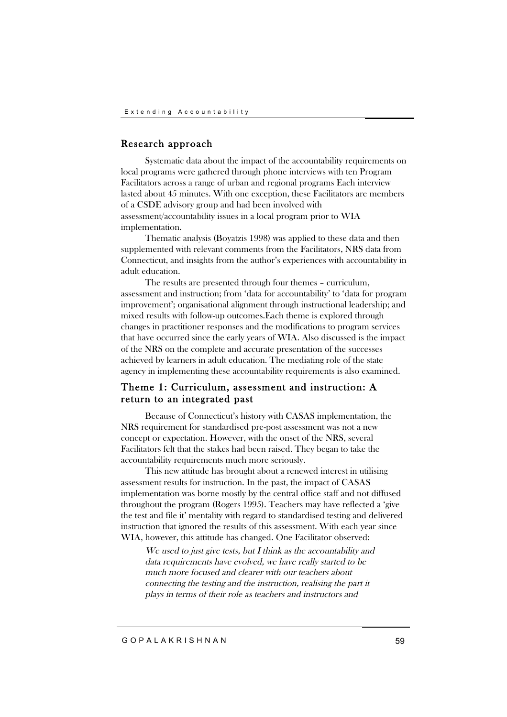## Research approach

Systematic data about the impact of the accountability requirements on local programs were gathered through phone interviews with ten Program Facilitators across a range of urban and regional programs Each interview lasted about 45 minutes. With one exception, these Facilitators are members of a CSDE advisory group and had been involved with assessment/accountability issues in a local program prior to WIA implementation.

Thematic analysis (Boyatzis 1998) was applied to these data and then supplemented with relevant comments from the Facilitators, NRS data from Connecticut, and insights from the author's experiences with accountability in adult education.

The results are presented through four themes – curriculum, assessment and instruction; from 'data for accountability' to 'data for program improvement'; organisational alignment through instructional leadership; and mixed results with follow-up outcomes.Each theme is explored through changes in practitioner responses and the modifications to program services that have occurred since the early years of WIA. Also discussed is the impact of the NRS on the complete and accurate presentation of the successes achieved by learners in adult education. The mediating role of the state agency in implementing these accountability requirements is also examined.

## Theme 1: Curriculum, assessment and instruction: A return to an integrated past

Because of Connecticut's history with CASAS implementation, the NRS requirement for standardised pre-post assessment was not a new concept or expectation. However, with the onset of the NRS, several Facilitators felt that the stakes had been raised. They began to take the accountability requirements much more seriously.

This new attitude has brought about a renewed interest in utilising assessment results for instruction. In the past, the impact of CASAS implementation was borne mostly by the central office staff and not diffused throughout the program (Rogers 1995). Teachers may have reflected a 'give the test and file it' mentality with regard to standardised testing and delivered instruction that ignored the results of this assessment. With each year since WIA, however, this attitude has changed. One Facilitator observed:

We used to just give tests, but I think as the accountability and data requirements have evolved, we have really started to be much more focused and clearer with our teachers about connecting the testing and the instruction, realising the part it plays in terms of their role as teachers and instructors and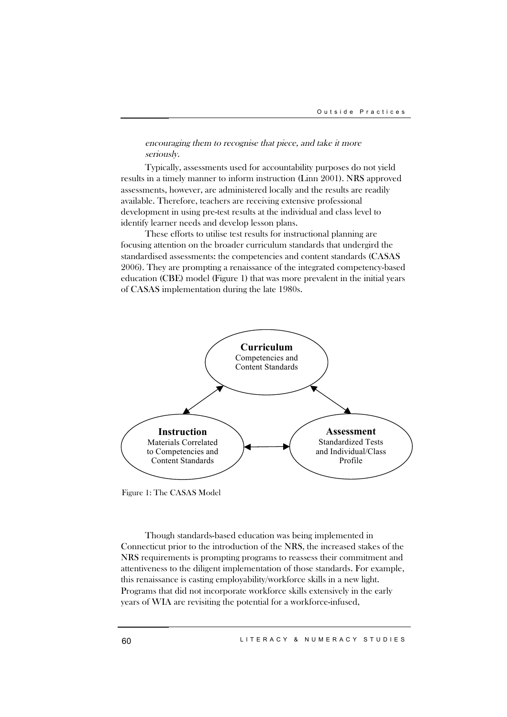#### encouraging them to recognise that piece, and take it more seriously.

Typically, assessments used for accountability purposes do not yield results in a timely manner to inform instruction (Linn 2001). NRS approved assessments, however, are administered locally and the results are readily available. Therefore, teachers are receiving extensive professional development in using pre-test results at the individual and class level to identify learner needs and develop lesson plans.

These efforts to utilise test results for instructional planning are focusing attention on the broader curriculum standards that undergird the standardised assessments: the competencies and content standards (CASAS 2006). They are prompting a renaissance of the integrated competency-based education (CBE) model (Figure 1) that was more prevalent in the initial years of CASAS implementation during the late 1980s.



Figure 1: The CASAS Model

Though standards-based education was being implemented in Connecticut prior to the introduction of the NRS, the increased stakes of the NRS requirements is prompting programs to reassess their commitment and attentiveness to the diligent implementation of those standards. For example, this renaissance is casting employability/workforce skills in a new light. Programs that did not incorporate workforce skills extensively in the early years of WIA are revisiting the potential for a workforce-infused,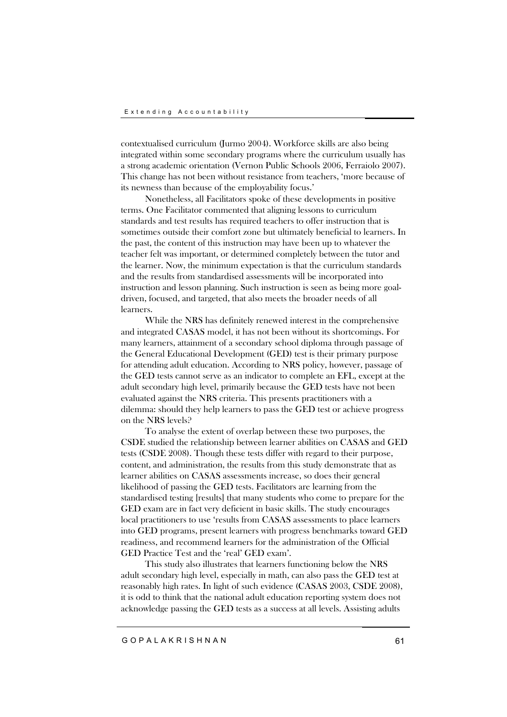contextualised curriculum (Jurmo 2004). Workforce skills are also being integrated within some secondary programs where the curriculum usually has a strong academic orientation (Vernon Public Schools 2006, Ferraiolo 2007). This change has not been without resistance from teachers, 'more because of its newness than because of the employability focus.'

Nonetheless, all Facilitators spoke of these developments in positive terms. One Facilitator commented that aligning lessons to curriculum standards and test results has required teachers to offer instruction that is sometimes outside their comfort zone but ultimately beneficial to learners. In the past, the content of this instruction may have been up to whatever the teacher felt was important, or determined completely between the tutor and the learner. Now, the minimum expectation is that the curriculum standards and the results from standardised assessments will be incorporated into instruction and lesson planning. Such instruction is seen as being more goaldriven, focused, and targeted, that also meets the broader needs of all learners.

While the NRS has definitely renewed interest in the comprehensive and integrated CASAS model, it has not been without its shortcomings. For many learners, attainment of a secondary school diploma through passage of the General Educational Development (GED) test is their primary purpose for attending adult education. According to NRS policy, however, passage of the GED tests cannot serve as an indicator to complete an EFL, except at the adult secondary high level, primarily because the GED tests have not been evaluated against the NRS criteria. This presents practitioners with a dilemma: should they help learners to pass the GED test or achieve progress on the NRS levels?

To analyse the extent of overlap between these two purposes, the CSDE studied the relationship between learner abilities on CASAS and GED tests (CSDE 2008). Though these tests differ with regard to their purpose, content, and administration, the results from this study demonstrate that as learner abilities on CASAS assessments increase, so does their general likelihood of passing the GED tests. Facilitators are learning from the standardised testing [results] that many students who come to prepare for the GED exam are in fact very deficient in basic skills. The study encourages local practitioners to use 'results from CASAS assessments to place learners into GED programs, present learners with progress benchmarks toward GED readiness, and recommend learners for the administration of the Official GED Practice Test and the 'real' GED exam'.

This study also illustrates that learners functioning below the NRS adult secondary high level, especially in math, can also pass the GED test at reasonably high rates. In light of such evidence (CASAS 2003, CSDE 2008), it is odd to think that the national adult education reporting system does not acknowledge passing the GED tests as a success at all levels. Assisting adults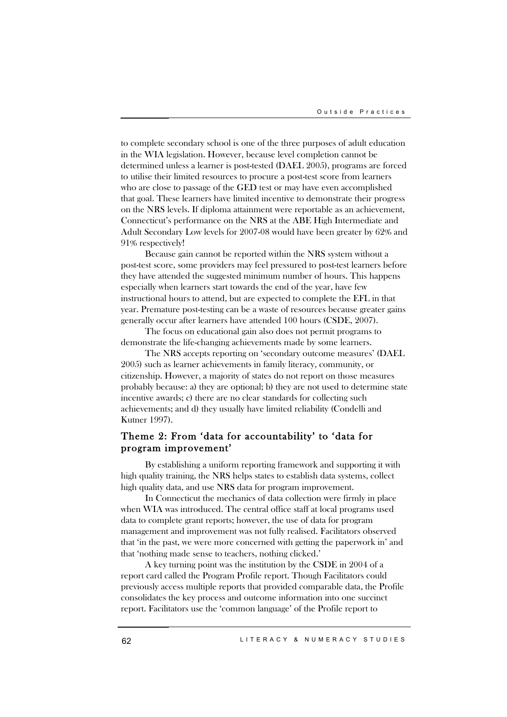to complete secondary school is one of the three purposes of adult education in the WIA legislation. However, because level completion cannot be determined unless a learner is post-tested (DAEL 2005), programs are forced to utilise their limited resources to procure a post-test score from learners who are close to passage of the GED test or may have even accomplished that goal. These learners have limited incentive to demonstrate their progress on the NRS levels. If diploma attainment were reportable as an achievement, Connecticut's performance on the NRS at the ABE High Intermediate and Adult Secondary Low levels for 2007-08 would have been greater by 62% and 91% respectively!

Because gain cannot be reported within the NRS system without a post-test score, some providers may feel pressured to post-test learners before they have attended the suggested minimum number of hours. This happens especially when learners start towards the end of the year, have few instructional hours to attend, but are expected to complete the EFL in that year. Premature post-testing can be a waste of resources because greater gains generally occur after learners have attended 100 hours (CSDE, 2007).

The focus on educational gain also does not permit programs to demonstrate the life-changing achievements made by some learners.

The NRS accepts reporting on 'secondary outcome measures' (DAEL 2005) such as learner achievements in family literacy, community, or citizenship. However, a majority of states do not report on those measures probably because: a) they are optional; b) they are not used to determine state incentive awards; c) there are no clear standards for collecting such achievements; and d) they usually have limited reliability (Condelli and Kutner 1997).

# Theme 2: From 'data for accountability' to 'data for program improvement'

By establishing a uniform reporting framework and supporting it with high quality training, the NRS helps states to establish data systems, collect high quality data, and use NRS data for program improvement.

In Connecticut the mechanics of data collection were firmly in place when WIA was introduced. The central office staff at local programs used data to complete grant reports; however, the use of data for program management and improvement was not fully realised. Facilitators observed that 'in the past, we were more concerned with getting the paperwork in' and that 'nothing made sense to teachers, nothing clicked.'

A key turning point was the institution by the CSDE in 2004 of a report card called the Program Profile report. Though Facilitators could previously access multiple reports that provided comparable data, the Profile consolidates the key process and outcome information into one succinct report. Facilitators use the 'common language' of the Profile report to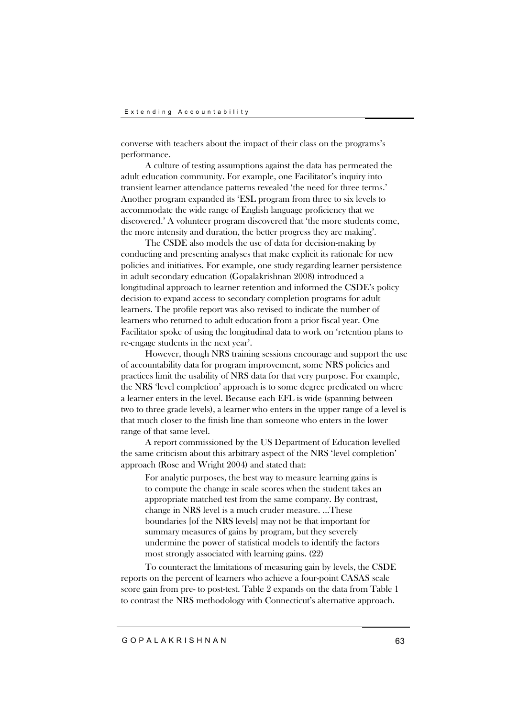converse with teachers about the impact of their class on the programs's performance.

A culture of testing assumptions against the data has permeated the adult education community. For example, one Facilitator's inquiry into transient learner attendance patterns revealed 'the need for three terms.' Another program expanded its 'ESL program from three to six levels to accommodate the wide range of English language proficiency that we discovered.' A volunteer program discovered that 'the more students come, the more intensity and duration, the better progress they are making'.

The CSDE also models the use of data for decision-making by conducting and presenting analyses that make explicit its rationale for new policies and initiatives. For example, one study regarding learner persistence in adult secondary education (Gopalakrishnan 2008) introduced a longitudinal approach to learner retention and informed the CSDE's policy decision to expand access to secondary completion programs for adult learners. The profile report was also revised to indicate the number of learners who returned to adult education from a prior fiscal year. One Facilitator spoke of using the longitudinal data to work on 'retention plans to re-engage students in the next year'.

However, though NRS training sessions encourage and support the use of accountability data for program improvement, some NRS policies and practices limit the usability of NRS data for that very purpose. For example, the NRS 'level completion' approach is to some degree predicated on where a learner enters in the level. Because each EFL is wide (spanning between two to three grade levels), a learner who enters in the upper range of a level is that much closer to the finish line than someone who enters in the lower range of that same level.

A report commissioned by the US Department of Education levelled the same criticism about this arbitrary aspect of the NRS 'level completion' approach (Rose and Wright 2004) and stated that:

For analytic purposes, the best way to measure learning gains is to compute the change in scale scores when the student takes an appropriate matched test from the same company. By contrast, change in NRS level is a much cruder measure. …These boundaries [of the NRS levels] may not be that important for summary measures of gains by program, but they severely undermine the power of statistical models to identify the factors most strongly associated with learning gains. (22)

To counteract the limitations of measuring gain by levels, the CSDE reports on the percent of learners who achieve a four-point CASAS scale score gain from pre- to post-test. Table 2 expands on the data from Table 1 to contrast the NRS methodology with Connecticut's alternative approach.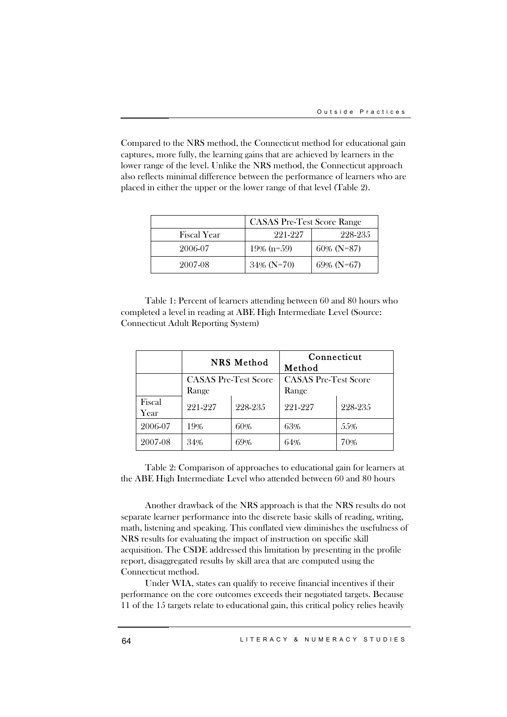Compared to the NRS method, the Connecticut method for educational gain captures, more fully, the learning gains that are achieved by learners in the lower range of the level. Unlike the NRS method, the Connecticut approach also reflects minimal difference between the performance of learners who are placed in either the upper or the lower range of that level (Table 2).

|                    | <b>CASAS Pre-Test Score Range</b> |               |  |
|--------------------|-----------------------------------|---------------|--|
| <b>Fiscal Year</b> | 991-997                           | 228-235       |  |
| 2006-07            | $19\%$ (n=59)                     | $60\%$ (N=87) |  |
| 2007-08            | $34\%$ (N=70)                     | $69\%$ (N=67) |  |

Table 1: Percent of learners attending between 60 and 80 hours who completed a level in reading at ABE High Intermediate Level (Source: Connecticut Adult Reporting System)

|                | <b>NRS</b> Method                    |         | Connecticut<br>Method                |         |
|----------------|--------------------------------------|---------|--------------------------------------|---------|
|                | <b>CASAS Pre-Test Score</b><br>Range |         | <b>CASAS</b> Pre-Test Score<br>Range |         |
| Fiscal<br>Year | 221-227                              | 228-235 | 221-227                              | 228-235 |
| 2006-07        | 19%                                  | 60%     | 63%                                  | 55%     |
| 2007-08        | 34%                                  | 69%     | 64%                                  | 70%     |

Table 2: Comparison of approaches to educational gain for learners at the ABE High Intermediate Level who attended between 60 and 80 hours

Another drawback of the NRS approach is that the NRS results do not separate learner performance into the discrete basic skills of reading, writing, math, listening and speaking. This conflated view diminishes the usefulness of NRS results for evaluating the impact of instruction on specific skill acquisition. The CSDE addressed this limitation by presenting in the profile report, disaggregated results by skill area that are computed using the Connecticut method.

Under WIA, states can qualify to receive financial incentives if their performance on the core outcomes exceeds their negotiated targets. Because 11 of the 15 targets relate to educational gain, this critical policy relies heavily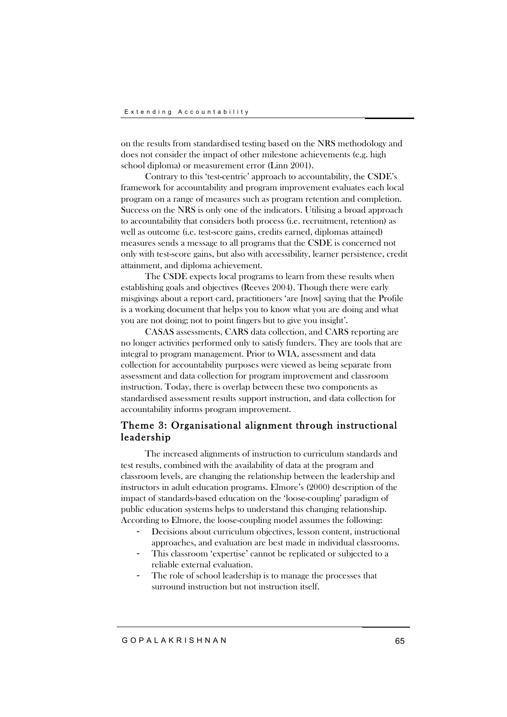on the results from standardised testing based on the NRS methodology and does not consider the impact of other milestone achievements (e.g. high school diploma) or measurement error (Linn 2001).

Contrary to this 'test-centric' approach to accountability, the CSDE's framework for accountability and program improvement evaluates each local program on a range of measures such as program retention and completion. Success on the NRS is only one of the indicators. Utilising a broad approach to accountability that considers both process (i.e. recruitment, retention) as well as outcome (i.e. test-score gains, credits earned, diplomas attained) measures sends a message to all programs that the CSDE is concerned not only with test-score gains, but also with accessibility, learner persistence, credit attainment, and diploma achievement.

The CSDE expects local programs to learn from these results when establishing goals and objectives (Reeves 2004). Though there were early misgivings about a report card, practitioners 'are [now] saying that the Profile is a working document that helps you to know what you are doing and what you are not doing; not to point fingers but to give you insight'.

CASAS assessments, CARS data collection, and CARS reporting are no longer activities performed only to satisfy funders. They are tools that are integral to program management. Prior to WIA, assessment and data collection for accountability purposes were viewed as being separate from assessment and data collection for program improvement and classroom instruction. Today, there is overlap between these two components as standardised assessment results support instruction, and data collection for accountability informs program improvement.

# Theme 3: Organisational alignment through instructional leadership

The increased alignments of instruction to curriculum standards and test results, combined with the availability of data at the program and classroom levels, are changing the relationship between the leadership and instructors in adult education programs. Elmore's (2000) description of the impact of standards-based education on the 'loose-coupling' paradigm of public education systems helps to understand this changing relationship. According to Elmore, the loose-coupling model assumes the following:

- Decisions about curriculum objectives, lesson content, instructional approaches, and evaluation are best made in individual classrooms.
- This classroom 'expertise' cannot be replicated or subjected to a reliable external evaluation.
- The role of school leadership is to manage the processes that surround instruction but not instruction itself.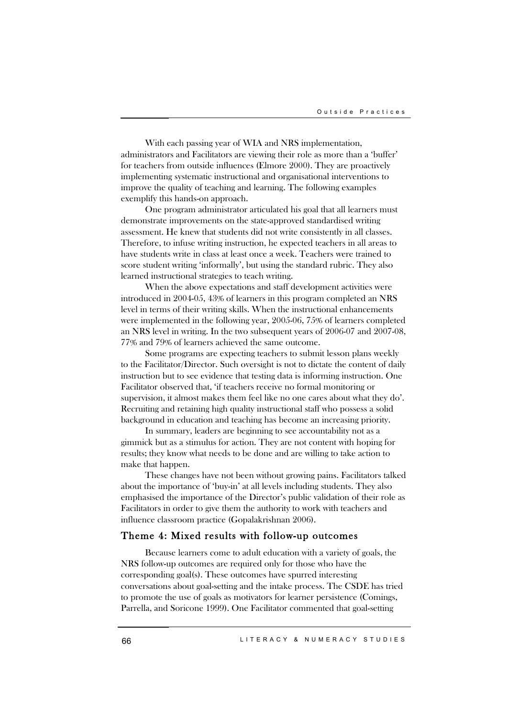With each passing year of WIA and NRS implementation, administrators and Facilitators are viewing their role as more than a 'buffer' for teachers from outside influences (Elmore 2000). They are proactively implementing systematic instructional and organisational interventions to improve the quality of teaching and learning. The following examples exemplify this hands-on approach.

One program administrator articulated his goal that all learners must demonstrate improvements on the state-approved standardised writing assessment. He knew that students did not write consistently in all classes. Therefore, to infuse writing instruction, he expected teachers in all areas to have students write in class at least once a week. Teachers were trained to score student writing 'informally', but using the standard rubric. They also learned instructional strategies to teach writing.

When the above expectations and staff development activities were introduced in 2004-05, 43% of learners in this program completed an NRS level in terms of their writing skills. When the instructional enhancements were implemented in the following year, 2005-06, 75% of learners completed an NRS level in writing. In the two subsequent years of 2006-07 and 2007-08, 77% and 79% of learners achieved the same outcome.

Some programs are expecting teachers to submit lesson plans weekly to the Facilitator/Director. Such oversight is not to dictate the content of daily instruction but to see evidence that testing data is informing instruction. One Facilitator observed that, 'if teachers receive no formal monitoring or supervision, it almost makes them feel like no one cares about what they do'. Recruiting and retaining high quality instructional staff who possess a solid background in education and teaching has become an increasing priority.

In summary, leaders are beginning to see accountability not as a gimmick but as a stimulus for action. They are not content with hoping for results; they know what needs to be done and are willing to take action to make that happen.

These changes have not been without growing pains. Facilitators talked about the importance of 'buy-in' at all levels including students. They also emphasised the importance of the Director's public validation of their role as Facilitators in order to give them the authority to work with teachers and influence classroom practice (Gopalakrishnan 2006).

### Theme 4: Mixed results with follow-up outcomes

Because learners come to adult education with a variety of goals, the NRS follow-up outcomes are required only for those who have the corresponding goal(s). These outcomes have spurred interesting conversations about goal-setting and the intake process. The CSDE has tried to promote the use of goals as motivators for learner persistence (Comings, Parrella, and Soricone 1999). One Facilitator commented that goal-setting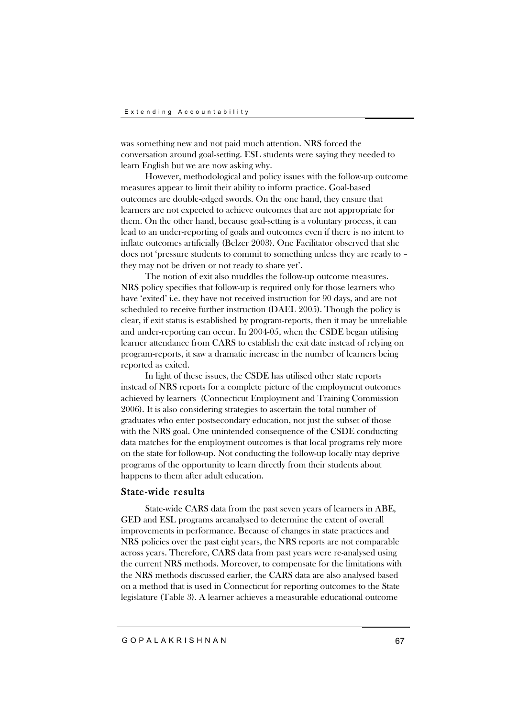was something new and not paid much attention. NRS forced the conversation around goal-setting. ESL students were saying they needed to learn English but we are now asking why.

However, methodological and policy issues with the follow-up outcome measures appear to limit their ability to inform practice. Goal-based outcomes are double-edged swords. On the one hand, they ensure that learners are not expected to achieve outcomes that are not appropriate for them. On the other hand, because goal-setting is a voluntary process, it can lead to an under-reporting of goals and outcomes even if there is no intent to inflate outcomes artificially (Belzer 2003). One Facilitator observed that she does not 'pressure students to commit to something unless they are ready to – they may not be driven or not ready to share yet'.

The notion of exit also muddles the follow-up outcome measures. NRS policy specifies that follow-up is required only for those learners who have 'exited' i.e. they have not received instruction for 90 days, and are not scheduled to receive further instruction (DAEL 2005). Though the policy is clear, if exit status is established by program-reports, then it may be unreliable and under-reporting can occur. In 2004-05, when the CSDE began utilising learner attendance from CARS to establish the exit date instead of relying on program-reports, it saw a dramatic increase in the number of learners being reported as exited.

In light of these issues, the CSDE has utilised other state reports instead of NRS reports for a complete picture of the employment outcomes achieved by learners (Connecticut Employment and Training Commission 2006). It is also considering strategies to ascertain the total number of graduates who enter postsecondary education, not just the subset of those with the NRS goal. One unintended consequence of the CSDE conducting data matches for the employment outcomes is that local programs rely more on the state for follow-up. Not conducting the follow-up locally may deprive programs of the opportunity to learn directly from their students about happens to them after adult education.

#### State-wide results

State-wide CARS data from the past seven years of learners in ABE, GED and ESL programs areanalysed to determine the extent of overall improvements in performance. Because of changes in state practices and NRS policies over the past eight years, the NRS reports are not comparable across years. Therefore, CARS data from past years were re-analysed using the current NRS methods. Moreover, to compensate for the limitations with the NRS methods discussed earlier, the CARS data are also analysed based on a method that is used in Connecticut for reporting outcomes to the State legislature (Table 3). A learner achieves a measurable educational outcome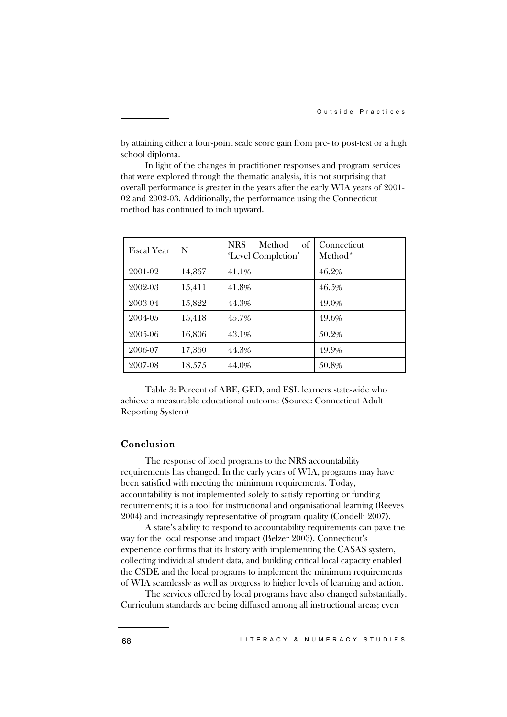by attaining either a four-point scale score gain from pre- to post-test or a high school diploma.

In light of the changes in practitioner responses and program services that were explored through the thematic analysis, it is not surprising that overall performance is greater in the years after the early WIA years of 2001- 02 and 2002-03. Additionally, the performance using the Connecticut method has continued to inch upward.

| <b>Fiscal Year</b> | N      | <b>NRS</b><br>Method<br>of<br>'Level Completion' | Connecticut<br>Method <sup>*</sup> |
|--------------------|--------|--------------------------------------------------|------------------------------------|
| 2001-02            | 14,367 | 41.1%                                            | 46.2%                              |
| 2002-03            | 15,411 | 41.8%                                            | 46.5%                              |
| 2003-04            | 15,822 | 44.3%                                            | 49.0%                              |
| 2004-05            | 15,418 | 45.7%                                            | 49.6%                              |
| 2005-06            | 16,806 | 43.1%                                            | 50.2%                              |
| 2006-07            | 17,360 | 44.3%                                            | 49.9%                              |
| 2007-08            | 18,575 | 44.0%                                            | 50.8%                              |

Table 3: Percent of ABE, GED, and ESL learners state-wide who achieve a measurable educational outcome (Source: Connecticut Adult Reporting System)

### Conclusion

The response of local programs to the NRS accountability requirements has changed. In the early years of WIA, programs may have been satisfied with meeting the minimum requirements. Today, accountability is not implemented solely to satisfy reporting or funding requirements; it is a tool for instructional and organisational learning (Reeves 2004) and increasingly representative of program quality (Condelli 2007).

A state's ability to respond to accountability requirements can pave the way for the local response and impact (Belzer 2003). Connecticut's experience confirms that its history with implementing the CASAS system, collecting individual student data, and building critical local capacity enabled the CSDE and the local programs to implement the minimum requirements of WIA seamlessly as well as progress to higher levels of learning and action.

The services offered by local programs have also changed substantially. Curriculum standards are being diffused among all instructional areas; even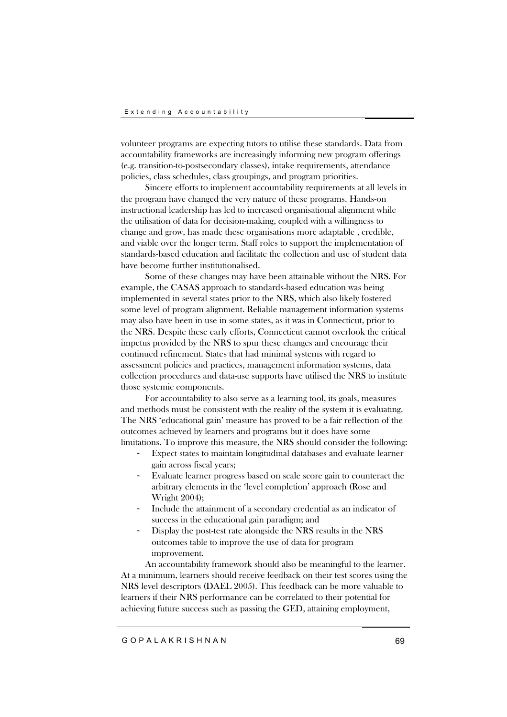volunteer programs are expecting tutors to utilise these standards. Data from accountability frameworks are increasingly informing new program offerings (e.g. transition-to-postsecondary classes), intake requirements, attendance policies, class schedules, class groupings, and program priorities.

Sincere efforts to implement accountability requirements at all levels in the program have changed the very nature of these programs. Hands-on instructional leadership has led to increased organisational alignment while the utilisation of data for decision-making, coupled with a willingness to change and grow, has made these organisations more adaptable , credible, and viable over the longer term. Staff roles to support the implementation of standards-based education and facilitate the collection and use of student data have become further institutionalised.

Some of these changes may have been attainable without the NRS. For example, the CASAS approach to standards-based education was being implemented in several states prior to the NRS, which also likely fostered some level of program alignment. Reliable management information systems may also have been in use in some states, as it was in Connecticut, prior to the NRS. Despite these early efforts, Connecticut cannot overlook the critical impetus provided by the NRS to spur these changes and encourage their continued refinement. States that had minimal systems with regard to assessment policies and practices, management information systems, data collection procedures and data-use supports have utilised the NRS to institute those systemic components.

For accountability to also serve as a learning tool, its goals, measures and methods must be consistent with the reality of the system it is evaluating. The NRS 'educational gain' measure has proved to be a fair reflection of the outcomes achieved by learners and programs but it does have some limitations. To improve this measure, the NRS should consider the following:

- Expect states to maintain longitudinal databases and evaluate learner gain across fiscal years;
- Evaluate learner progress based on scale score gain to counteract the arbitrary elements in the 'level completion' approach (Rose and Wright 2004);
- Include the attainment of a secondary credential as an indicator of success in the educational gain paradigm; and
- Display the post-test rate alongside the NRS results in the NRS outcomes table to improve the use of data for program improvement.

An accountability framework should also be meaningful to the learner. At a minimum, learners should receive feedback on their test scores using the NRS level descriptors (DAEL 2005). This feedback can be more valuable to learners if their NRS performance can be correlated to their potential for achieving future success such as passing the GED, attaining employment,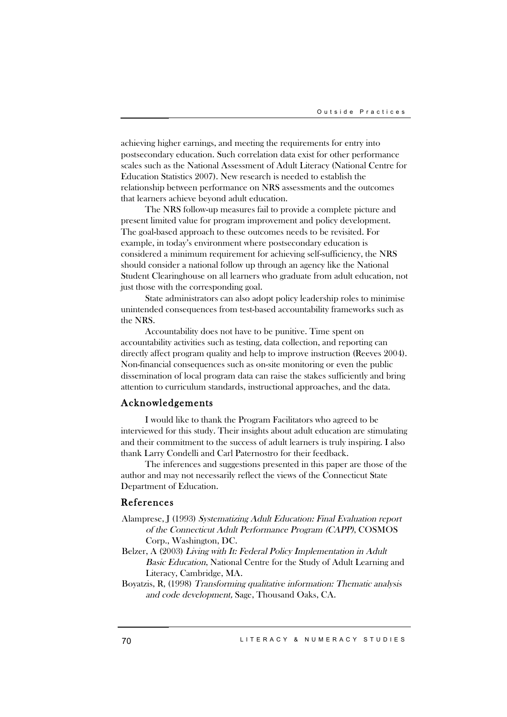achieving higher earnings, and meeting the requirements for entry into postsecondary education. Such correlation data exist for other performance scales such as the National Assessment of Adult Literacy (National Centre for Education Statistics 2007). New research is needed to establish the relationship between performance on NRS assessments and the outcomes that learners achieve beyond adult education.

The NRS follow-up measures fail to provide a complete picture and present limited value for program improvement and policy development. The goal-based approach to these outcomes needs to be revisited. For example, in today's environment where postsecondary education is considered a minimum requirement for achieving self-sufficiency, the NRS should consider a national follow up through an agency like the National Student Clearinghouse on all learners who graduate from adult education, not just those with the corresponding goal.

State administrators can also adopt policy leadership roles to minimise unintended consequences from test-based accountability frameworks such as the NRS.

Accountability does not have to be punitive. Time spent on accountability activities such as testing, data collection, and reporting can directly affect program quality and help to improve instruction (Reeves 2004). Non-financial consequences such as on-site monitoring or even the public dissemination of local program data can raise the stakes sufficiently and bring attention to curriculum standards, instructional approaches, and the data.

#### Acknowledgements

I would like to thank the Program Facilitators who agreed to be interviewed for this study. Their insights about adult education are stimulating and their commitment to the success of adult learners is truly inspiring. I also thank Larry Condelli and Carl Paternostro for their feedback.

The inferences and suggestions presented in this paper are those of the author and may not necessarily reflect the views of the Connecticut State Department of Education.

## References

- Alamprese, J (1993) Systematizing Adult Education: Final Evaluation report of the Connecticut Adult Performance Program (CAPP), COSMOS Corp., Washington, DC.
- Belzer, A (2003) Living with It: Federal Policy Implementation in Adult Basic Education, National Centre for the Study of Adult Learning and Literacy, Cambridge, MA.
- Boyatzis, R, (1998) Transforming qualitative information: Thematic analysis and code development, Sage, Thousand Oaks, CA.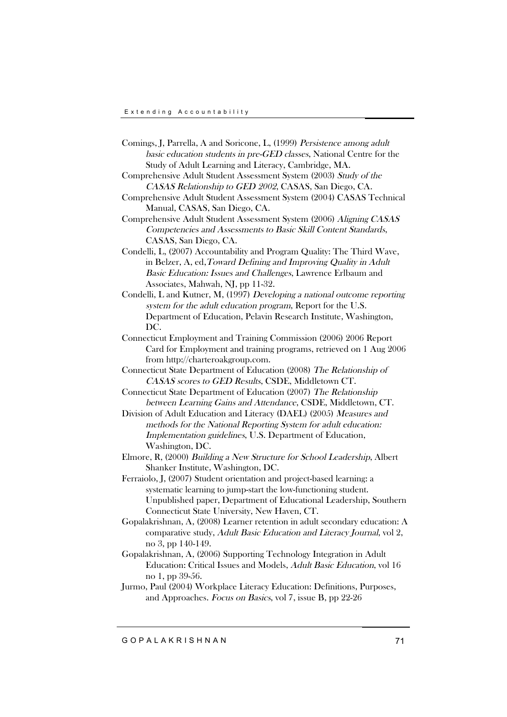- Comings, J, Parrella, A and Soricone, L, (1999) Persistence among adult basic education students in pre-GED classes, National Centre for the Study of Adult Learning and Literacy, Cambridge, MA.
- Comprehensive Adult Student Assessment System (2003) Study of the CASAS Relationship to GED <sup>2002</sup>, CASAS, San Diego, CA.
- Comprehensive Adult Student Assessment System (2004) CASAS Technical Manual, CASAS, San Diego, CA.
- Comprehensive Adult Student Assessment System (2006) Aligning CASAS Competencies and Assessments to Basic Skill Content Standards, CASAS, San Diego, CA.
- Condelli, L, (2007) Accountability and Program Quality: The Third Wave, in Belzer, A, ed,Toward Defining and Improving Quality in Adult Basic Education: Issues and Challenges, Lawrence Erlbaum and Associates, Mahwah, NJ, pp 11-32.
- Condelli, L and Kutner, M, (1997) Developing <sup>a</sup> national outcome reporting system for the adult education program, Report for the U.S. Department of Education, Pelavin Research Institute, Washington, DC.
- Connecticut Employment and Training Commission (2006) 2006 Report Card for Employment and training programs, retrieved on 1 Aug 2006 from http://charteroakgroup.com.
- Connecticut State Department of Education (2008) The Relationship of CASAS scores to GED Results, CSDE, Middletown CT.
- Connecticut State Department of Education (2007) The Relationship between Learning Gains and Attendance, CSDE, Middletown, CT.
- Division of Adult Education and Literacy (DAEL) (2005) Measures and methods for the National Reporting System for adult education: Implementation guidelines, U.S. Department of Education, Washington, DC.
- Elmore, R, (2000) Building <sup>a</sup> New Structure for School Leadership, Albert Shanker Institute, Washington, DC.
- Ferraiolo, J, (2007) Student orientation and project-based learning: a systematic learning to jump-start the low-functioning student. Unpublished paper, Department of Educational Leadership, Southern Connecticut State University, New Haven, CT.
- Gopalakrishnan, A, (2008) Learner retention in adult secondary education: A comparative study, Adult Basic Education and Literacy Journal, vol 2, no 3, pp 140-149.
- Gopalakrishnan, A, (2006) Supporting Technology Integration in Adult Education: Critical Issues and Models, Adult Basic Education, vol 16 no 1, pp 39-56.
- Jurmo, Paul (2004) Workplace Literacy Education: Definitions, Purposes, and Approaches. Focus on Basics, vol 7, issue B, pp 22-26

G O P A L A K R I S H N A N 71